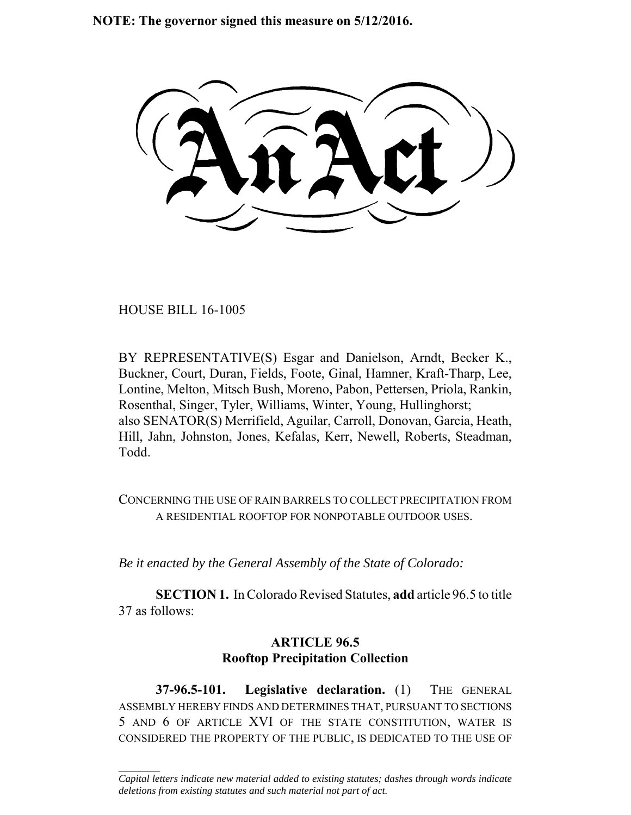**NOTE: The governor signed this measure on 5/12/2016.**

HOUSE BILL 16-1005

 $\frac{1}{2}$ 

BY REPRESENTATIVE(S) Esgar and Danielson, Arndt, Becker K., Buckner, Court, Duran, Fields, Foote, Ginal, Hamner, Kraft-Tharp, Lee, Lontine, Melton, Mitsch Bush, Moreno, Pabon, Pettersen, Priola, Rankin, Rosenthal, Singer, Tyler, Williams, Winter, Young, Hullinghorst; also SENATOR(S) Merrifield, Aguilar, Carroll, Donovan, Garcia, Heath, Hill, Jahn, Johnston, Jones, Kefalas, Kerr, Newell, Roberts, Steadman, Todd.

CONCERNING THE USE OF RAIN BARRELS TO COLLECT PRECIPITATION FROM A RESIDENTIAL ROOFTOP FOR NONPOTABLE OUTDOOR USES.

*Be it enacted by the General Assembly of the State of Colorado:*

**SECTION 1.** In Colorado Revised Statutes, **add** article 96.5 to title 37 as follows:

## **ARTICLE 96.5 Rooftop Precipitation Collection**

**37-96.5-101. Legislative declaration.** (1) THE GENERAL ASSEMBLY HEREBY FINDS AND DETERMINES THAT, PURSUANT TO SECTIONS 5 AND 6 OF ARTICLE XVI OF THE STATE CONSTITUTION, WATER IS CONSIDERED THE PROPERTY OF THE PUBLIC, IS DEDICATED TO THE USE OF

*Capital letters indicate new material added to existing statutes; dashes through words indicate deletions from existing statutes and such material not part of act.*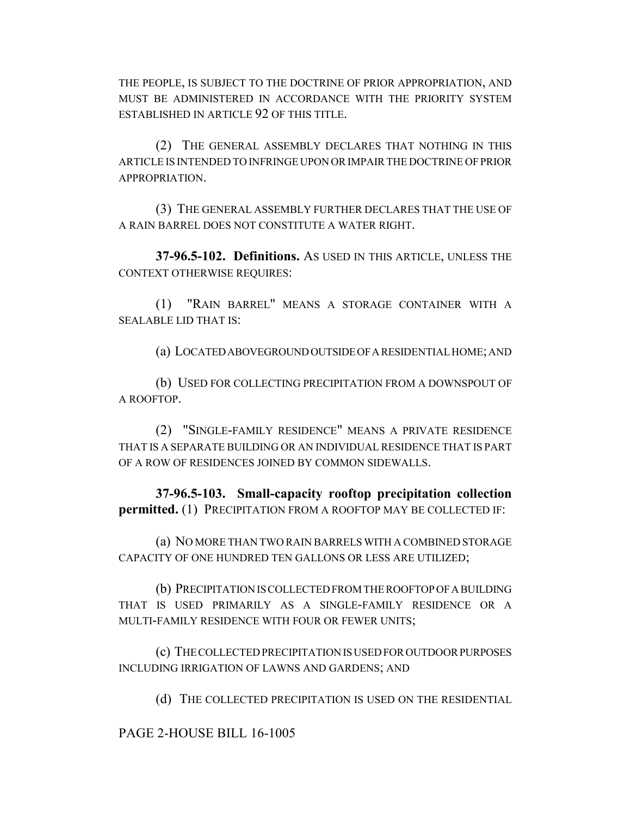THE PEOPLE, IS SUBJECT TO THE DOCTRINE OF PRIOR APPROPRIATION, AND MUST BE ADMINISTERED IN ACCORDANCE WITH THE PRIORITY SYSTEM ESTABLISHED IN ARTICLE 92 OF THIS TITLE.

(2) THE GENERAL ASSEMBLY DECLARES THAT NOTHING IN THIS ARTICLE IS INTENDED TO INFRINGE UPON OR IMPAIR THE DOCTRINE OF PRIOR APPROPRIATION.

(3) THE GENERAL ASSEMBLY FURTHER DECLARES THAT THE USE OF A RAIN BARREL DOES NOT CONSTITUTE A WATER RIGHT.

**37-96.5-102. Definitions.** AS USED IN THIS ARTICLE, UNLESS THE CONTEXT OTHERWISE REQUIRES:

(1) "RAIN BARREL" MEANS A STORAGE CONTAINER WITH A SEALABLE LID THAT IS:

(a) LOCATED ABOVEGROUND OUTSIDE OF A RESIDENTIAL HOME; AND

(b) USED FOR COLLECTING PRECIPITATION FROM A DOWNSPOUT OF A ROOFTOP.

(2) "SINGLE-FAMILY RESIDENCE" MEANS A PRIVATE RESIDENCE THAT IS A SEPARATE BUILDING OR AN INDIVIDUAL RESIDENCE THAT IS PART OF A ROW OF RESIDENCES JOINED BY COMMON SIDEWALLS.

**37-96.5-103. Small-capacity rooftop precipitation collection permitted.** (1) PRECIPITATION FROM A ROOFTOP MAY BE COLLECTED IF:

(a) NO MORE THAN TWO RAIN BARRELS WITH A COMBINED STORAGE CAPACITY OF ONE HUNDRED TEN GALLONS OR LESS ARE UTILIZED;

(b) PRECIPITATION IS COLLECTED FROM THE ROOFTOP OF A BUILDING THAT IS USED PRIMARILY AS A SINGLE-FAMILY RESIDENCE OR A MULTI-FAMILY RESIDENCE WITH FOUR OR FEWER UNITS;

(c) THE COLLECTED PRECIPITATION IS USED FOR OUTDOOR PURPOSES INCLUDING IRRIGATION OF LAWNS AND GARDENS; AND

(d) THE COLLECTED PRECIPITATION IS USED ON THE RESIDENTIAL

PAGE 2-HOUSE BILL 16-1005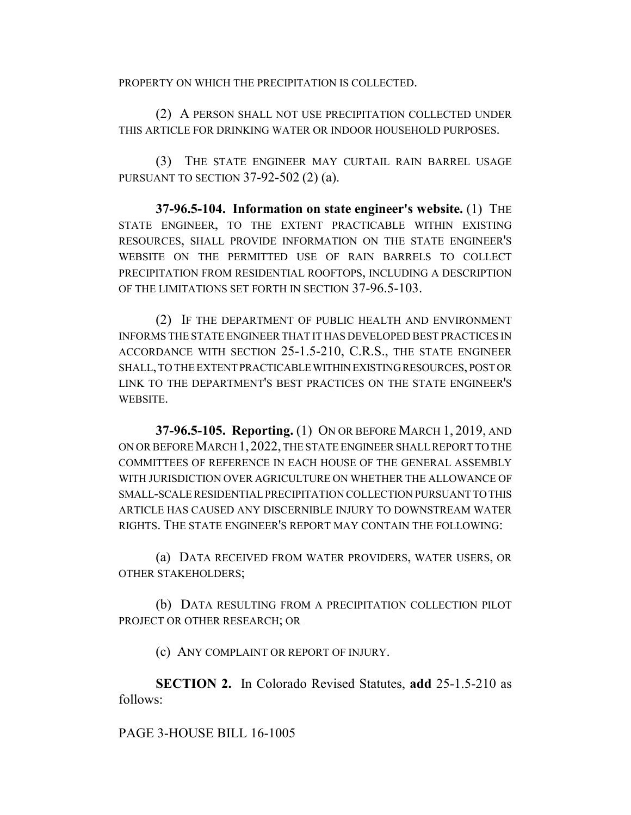PROPERTY ON WHICH THE PRECIPITATION IS COLLECTED.

(2) A PERSON SHALL NOT USE PRECIPITATION COLLECTED UNDER THIS ARTICLE FOR DRINKING WATER OR INDOOR HOUSEHOLD PURPOSES.

(3) THE STATE ENGINEER MAY CURTAIL RAIN BARREL USAGE PURSUANT TO SECTION 37-92-502 (2) (a).

**37-96.5-104. Information on state engineer's website.** (1) THE STATE ENGINEER, TO THE EXTENT PRACTICABLE WITHIN EXISTING RESOURCES, SHALL PROVIDE INFORMATION ON THE STATE ENGINEER'S WEBSITE ON THE PERMITTED USE OF RAIN BARRELS TO COLLECT PRECIPITATION FROM RESIDENTIAL ROOFTOPS, INCLUDING A DESCRIPTION OF THE LIMITATIONS SET FORTH IN SECTION 37-96.5-103.

(2) IF THE DEPARTMENT OF PUBLIC HEALTH AND ENVIRONMENT INFORMS THE STATE ENGINEER THAT IT HAS DEVELOPED BEST PRACTICES IN ACCORDANCE WITH SECTION 25-1.5-210, C.R.S., THE STATE ENGINEER SHALL, TO THE EXTENT PRACTICABLE WITHIN EXISTING RESOURCES, POST OR LINK TO THE DEPARTMENT'S BEST PRACTICES ON THE STATE ENGINEER'S WEBSITE.

**37-96.5-105. Reporting.** (1) ON OR BEFORE MARCH 1, 2019, AND ON OR BEFORE MARCH 1,2022, THE STATE ENGINEER SHALL REPORT TO THE COMMITTEES OF REFERENCE IN EACH HOUSE OF THE GENERAL ASSEMBLY WITH JURISDICTION OVER AGRICULTURE ON WHETHER THE ALLOWANCE OF SMALL-SCALE RESIDENTIAL PRECIPITATION COLLECTION PURSUANT TO THIS ARTICLE HAS CAUSED ANY DISCERNIBLE INJURY TO DOWNSTREAM WATER RIGHTS. THE STATE ENGINEER'S REPORT MAY CONTAIN THE FOLLOWING:

(a) DATA RECEIVED FROM WATER PROVIDERS, WATER USERS, OR OTHER STAKEHOLDERS;

(b) DATA RESULTING FROM A PRECIPITATION COLLECTION PILOT PROJECT OR OTHER RESEARCH; OR

(c) ANY COMPLAINT OR REPORT OF INJURY.

**SECTION 2.** In Colorado Revised Statutes, **add** 25-1.5-210 as follows:

PAGE 3-HOUSE BILL 16-1005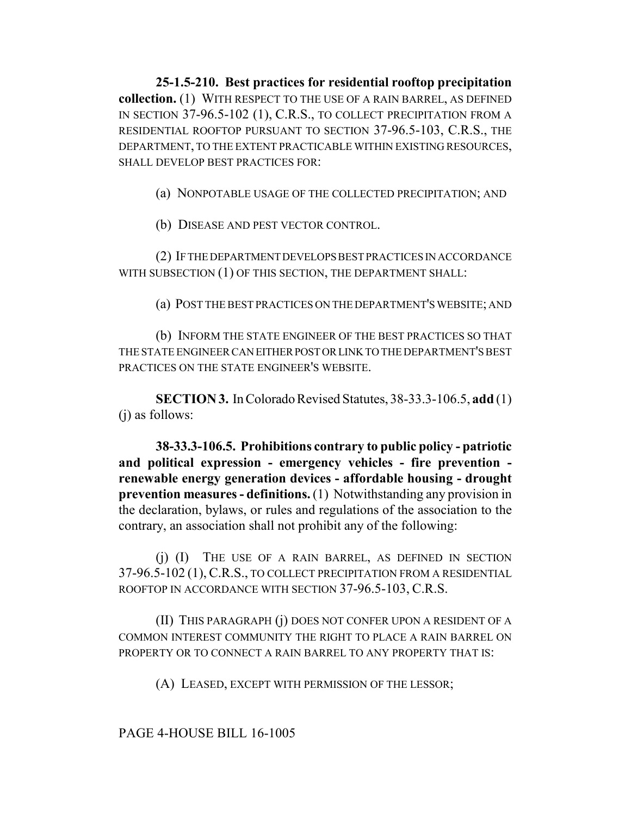**25-1.5-210. Best practices for residential rooftop precipitation collection.** (1) WITH RESPECT TO THE USE OF A RAIN BARREL, AS DEFINED IN SECTION 37-96.5-102 (1), C.R.S., TO COLLECT PRECIPITATION FROM A RESIDENTIAL ROOFTOP PURSUANT TO SECTION 37-96.5-103, C.R.S., THE DEPARTMENT, TO THE EXTENT PRACTICABLE WITHIN EXISTING RESOURCES, SHALL DEVELOP BEST PRACTICES FOR:

(a) NONPOTABLE USAGE OF THE COLLECTED PRECIPITATION; AND

(b) DISEASE AND PEST VECTOR CONTROL.

(2) IF THE DEPARTMENT DEVELOPS BEST PRACTICES IN ACCORDANCE WITH SUBSECTION (1) OF THIS SECTION, THE DEPARTMENT SHALL:

(a) POST THE BEST PRACTICES ON THE DEPARTMENT'S WEBSITE; AND

(b) INFORM THE STATE ENGINEER OF THE BEST PRACTICES SO THAT THE STATE ENGINEER CAN EITHER POST OR LINK TO THE DEPARTMENT'S BEST PRACTICES ON THE STATE ENGINEER'S WEBSITE.

**SECTION 3.** In Colorado Revised Statutes, 38-33.3-106.5, **add** (1) (j) as follows:

**38-33.3-106.5. Prohibitions contrary to public policy - patriotic and political expression - emergency vehicles - fire prevention renewable energy generation devices - affordable housing - drought prevention measures - definitions.** (1) Notwithstanding any provision in the declaration, bylaws, or rules and regulations of the association to the contrary, an association shall not prohibit any of the following:

(j) (I) THE USE OF A RAIN BARREL, AS DEFINED IN SECTION 37-96.5-102 (1), C.R.S., TO COLLECT PRECIPITATION FROM A RESIDENTIAL ROOFTOP IN ACCORDANCE WITH SECTION 37-96.5-103, C.R.S.

(II) THIS PARAGRAPH (j) DOES NOT CONFER UPON A RESIDENT OF A COMMON INTEREST COMMUNITY THE RIGHT TO PLACE A RAIN BARREL ON PROPERTY OR TO CONNECT A RAIN BARREL TO ANY PROPERTY THAT IS:

(A) LEASED, EXCEPT WITH PERMISSION OF THE LESSOR;

## PAGE 4-HOUSE BILL 16-1005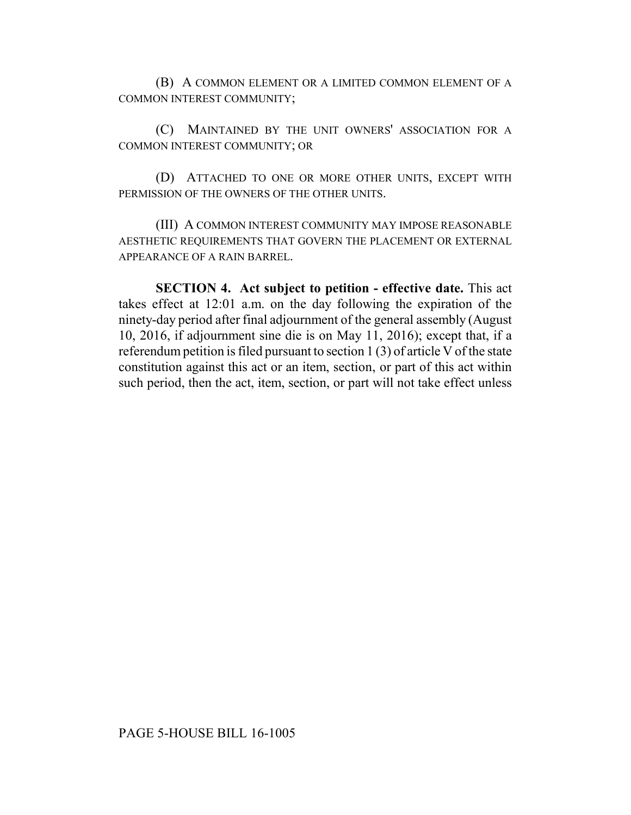(B) A COMMON ELEMENT OR A LIMITED COMMON ELEMENT OF A COMMON INTEREST COMMUNITY;

(C) MAINTAINED BY THE UNIT OWNERS' ASSOCIATION FOR A COMMON INTEREST COMMUNITY; OR

(D) ATTACHED TO ONE OR MORE OTHER UNITS, EXCEPT WITH PERMISSION OF THE OWNERS OF THE OTHER UNITS.

(III) A COMMON INTEREST COMMUNITY MAY IMPOSE REASONABLE AESTHETIC REQUIREMENTS THAT GOVERN THE PLACEMENT OR EXTERNAL APPEARANCE OF A RAIN BARREL.

**SECTION 4. Act subject to petition - effective date.** This act takes effect at 12:01 a.m. on the day following the expiration of the ninety-day period after final adjournment of the general assembly (August 10, 2016, if adjournment sine die is on May 11, 2016); except that, if a referendum petition is filed pursuant to section 1 (3) of article V of the state constitution against this act or an item, section, or part of this act within such period, then the act, item, section, or part will not take effect unless